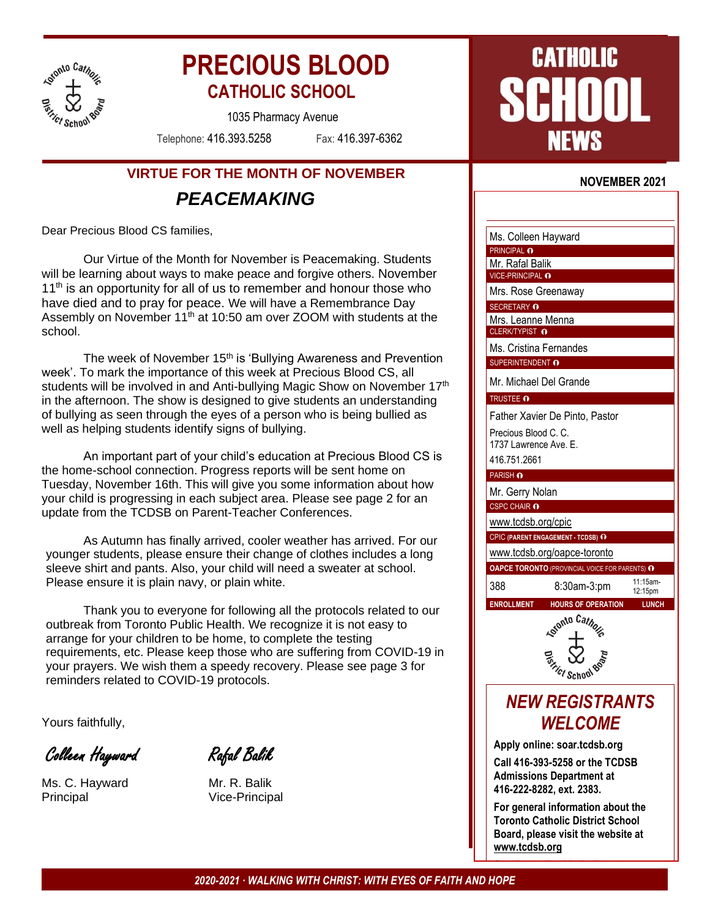

# **PRECIOUS BLOOD CATHOLIC SCHOOL**

1035 Pharmacy Avenue

Telephone: 416.393.5258 Fax: 416.397-6362

## **VIRTUE FOR THE MONTH OF NOVEMBER** *PEACEMAKING*

Dear Precious Blood CS families,

Our Virtue of the Month for November is Peacemaking. Students will be learning about ways to make peace and forgive others. November  $11<sup>th</sup>$  is an opportunity for all of us to remember and honour those who have died and to pray for peace. We will have a Remembrance Day Assembly on November 11<sup>th</sup> at 10:50 am over ZOOM with students at the school.

The week of November 15<sup>th</sup> is 'Bullying Awareness and Prevention week'. To mark the importance of this week at Precious Blood CS, all students will be involved in and Anti-bullying Magic Show on November 17<sup>th</sup> in the afternoon. The show is designed to give students an understanding of bullying as seen through the eyes of a person who is being bullied as well as helping students identify signs of bullying.

An important part of your child's education at Precious Blood CS is the home-school connection. Progress reports will be sent home on Tuesday, November 16th. This will give you some information about how your child is progressing in each subject area. Please see page 2 for an update from the TCDSB on Parent-Teacher Conferences.

As Autumn has finally arrived, cooler weather has arrived. For our younger students, please ensure their change of clothes includes a long sleeve shirt and pants. Also, your child will need a sweater at school. Please ensure it is plain navy, or plain white.

Thank you to everyone for following all the protocols related to our outbreak from Toronto Public Health. We recognize it is not easy to arrange for your children to be home, to complete the testing requirements, etc. Please keep those who are suffering from COVID-19 in your prayers. We wish them a speedy recovery. Please see page 3 for reminders related to COVID-19 protocols.

Yours faithfully,

Colleen Hayward Rafal Balik

Ms. C. Hayward Mr. R. Balik Principal Vice-Principal



#### **NOVEMBER 2021**

Ms. Colleen Hayward PRINCIPAL <sup>O</sup>

Mr. Rafal Balik

VICE-PRINCIPAL **O** Mrs. Rose Greenaway

SECRETARY **O** 

Mrs. Leanne Menna CLERK/TYPIST O

Ms. Cristina Fernandes SUPERINTENDENT **O** 

Mr. Michael Del Grande TRUSTEE **O** 

Father Xavier De Pinto, Pastor Precious Blood C. C.

1737 Lawrence Ave. E.

416.751.2661

PARISH **O** 

Mr. Gerry Nolan

CSPC CHAIR **O** 

[www.tcdsb.org/cpic](http://www.tcdsb.org/cpic)

CPIC **(PARENT ENGAGEMENT - TCDSB)**

[www.tcdsb.org/oapce-toronto](http://www.tcdsb.org/oapce-toronto)



**ENROLLMENT HOURS OF OPERATION LUNCH**

**Ticl School** 

## *NEW REGISTRANTS WELCOME*

**Apply online: soar.tcdsb.org**

**Call 416-393-5258 or the TCDSB Admissions Department at 416-222-8282, ext. 2383.**

**For general information about the Toronto Catholic District School Board, please visit the website at [www.tcdsb.org](http://www.tcdsb.org/)**

**Stay in touch with the latest news**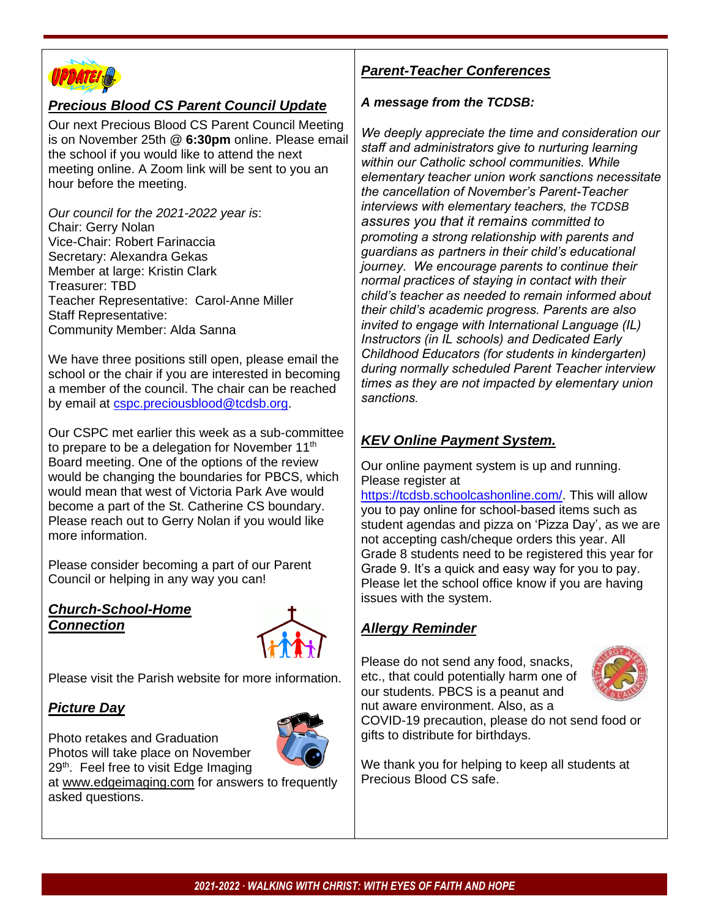

### *Precious Blood CS Parent Council Update*

Our next Precious Blood CS Parent Council Meeting is on November 25th @ **6:30pm** online. Please email the school if you would like to attend the next meeting online. A Zoom link will be sent to you an hour before the meeting.

*Our council for the 2021-2022 year is*: Chair: Gerry Nolan Vice-Chair: Robert Farinaccia Secretary: Alexandra Gekas Member at large: Kristin Clark Treasurer: TBD Teacher Representative: Carol-Anne Miller Staff Representative: Community Member: Alda Sanna

We have three positions still open, please email the school or the chair if you are interested in becoming a member of the council. The chair can be reached by email at [cspc.preciousblood@tcdsb.org.](mailto:cspc.preciousblood@tcdsb.org)

Our CSPC met earlier this week as a sub-committee to prepare to be a delegation for November  $11<sup>th</sup>$ Board meeting. One of the options of the review would be changing the boundaries for PBCS, which would mean that west of Victoria Park Ave would become a part of the St. Catherine CS boundary. Please reach out to Gerry Nolan if you would like more information.

Please consider becoming a part of our Parent Council or helping in any way you can!

#### *Church-School-Home Connection*



Please visit the Parish website for more information.

## *Picture Day*

Photo retakes and Graduation Photos will take place on November 29<sup>th</sup>. Feel free to visit Edge Imaging



at www.edgeimaging.com for answers to frequently asked questions.

## *Parent-Teacher Conferences*

#### *A message from the TCDSB:*

*We deeply appreciate the time and consideration our staff and administrators give to nurturing learning within our Catholic school communities. While elementary teacher union work sanctions necessitate the cancellation of November's Parent-Teacher interviews with elementary teachers, the TCDSB assures you that it remains committed to promoting a strong relationship with parents and guardians as partners in their child's educational journey. We encourage parents to continue their normal practices of staying in contact with their child's teacher as needed to remain informed about their child's academic progress. Parents are also invited to engage with International Language (IL) Instructors (in IL schools) and Dedicated Early Childhood Educators (for students in kindergarten) during normally scheduled Parent Teacher interview times as they are not impacted by elementary union sanctions.*

## *KEV Online Payment System.*

Our online payment system is up and running. Please register at

[https://tcdsb.schoolcashonline.com/.](https://tcdsb.schoolcashonline.com/) This will allow you to pay online for school-based items such as student agendas and pizza on 'Pizza Day', as we are not accepting cash/cheque orders this year. All Grade 8 students need to be registered this year for Grade 9. It's a quick and easy way for you to pay. Please let the school office know if you are having issues with the system.

## *Allergy Reminder*

Please do not send any food, snacks, etc., that could potentially harm one of our students. PBCS is a peanut and nut aware environment. Also, as a



COVID-19 precaution, please do not send food or gifts to distribute for birthdays.

We thank you for helping to keep all students at Precious Blood CS safe.